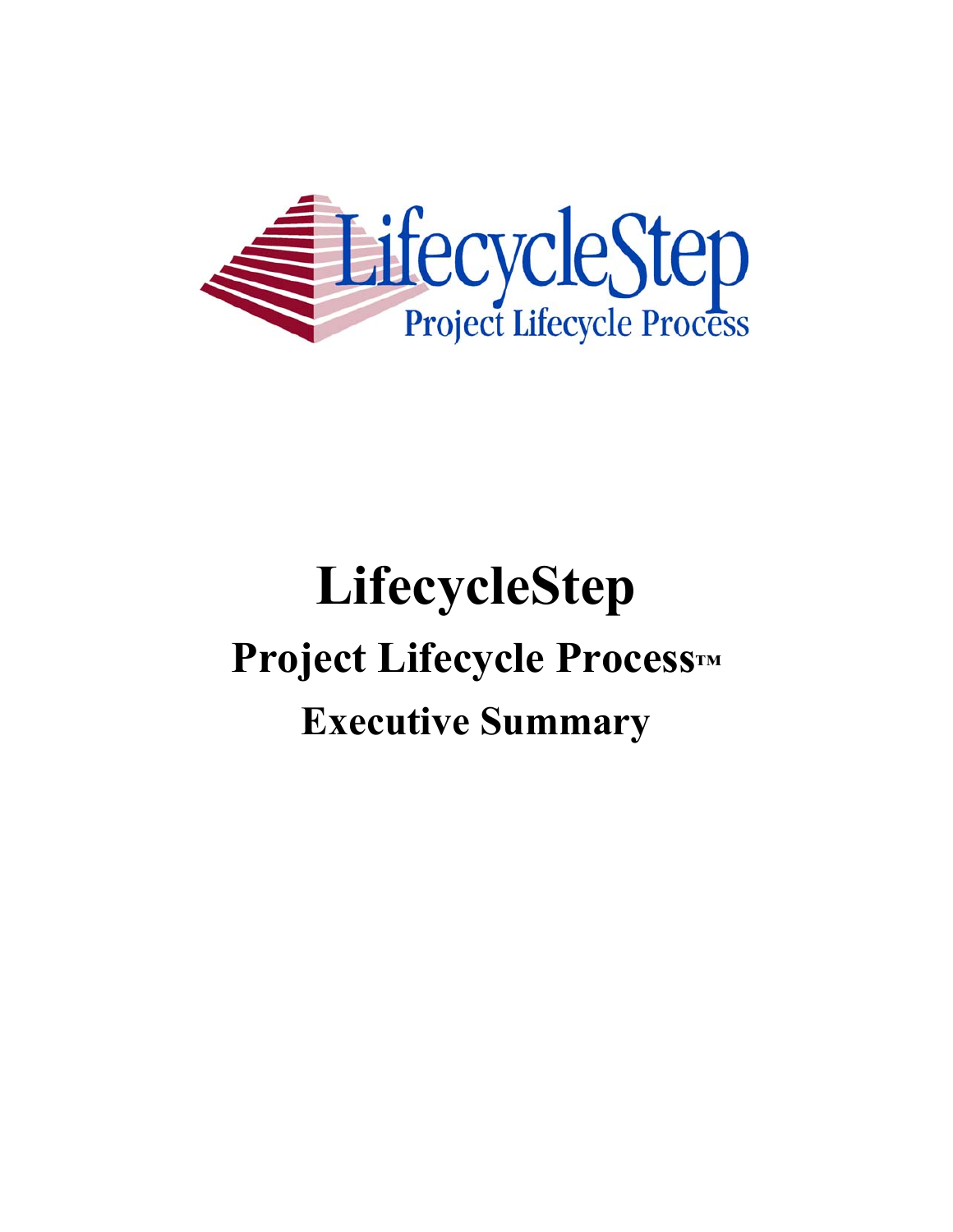

# **LifecycleStep Project Lifecycle Process™ Executive Summary**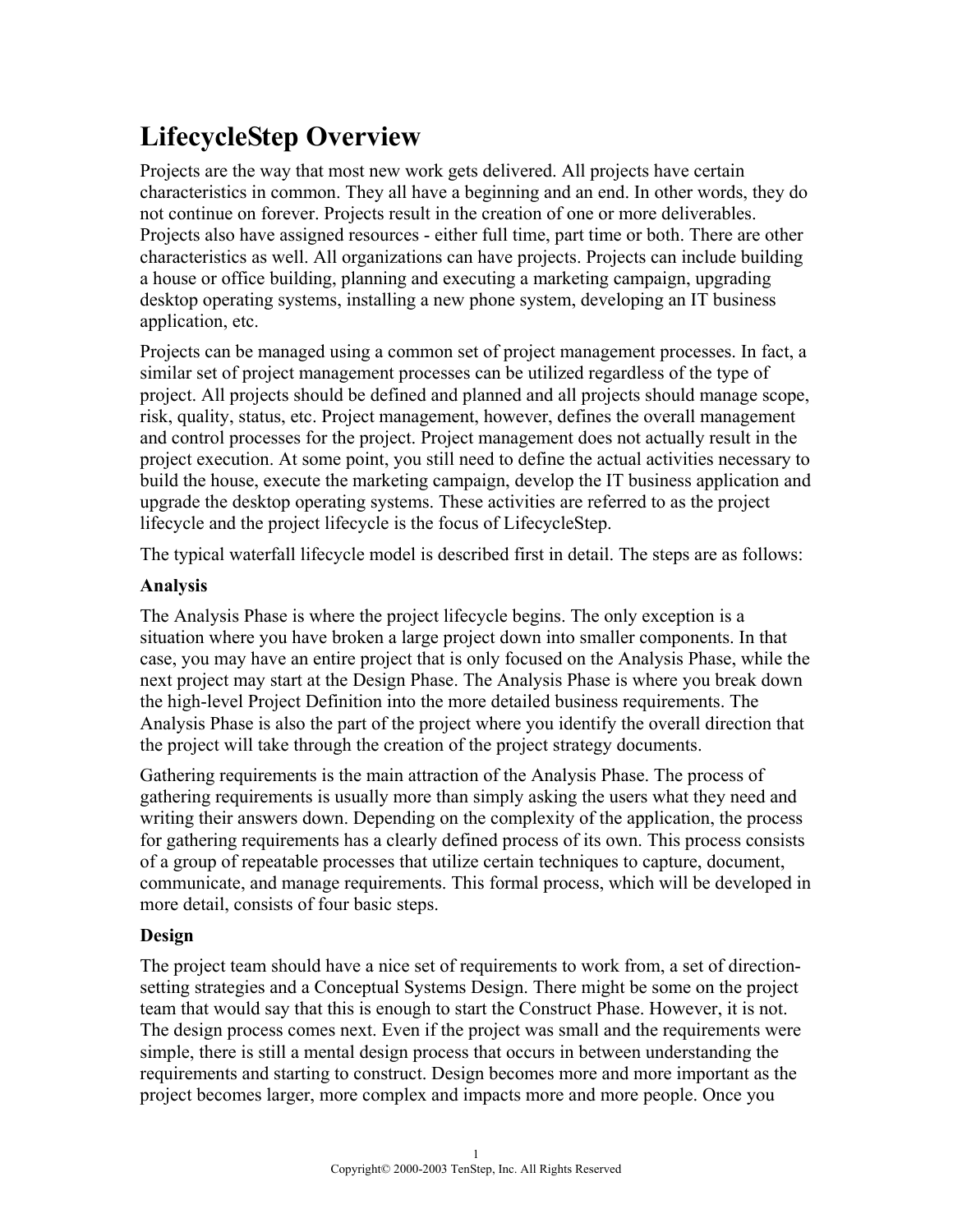# **LifecycleStep Overview**

Projects are the way that most new work gets delivered. All projects have certain characteristics in common. They all have a beginning and an end. In other words, they do not continue on forever. Projects result in the creation of one or more deliverables. Projects also have assigned resources - either full time, part time or both. There are other characteristics as well. All organizations can have projects. Projects can include building a house or office building, planning and executing a marketing campaign, upgrading desktop operating systems, installing a new phone system, developing an IT business application, etc.

Projects can be managed using a common set of project management processes. In fact, a similar set of project management processes can be utilized regardless of the type of project. All projects should be defined and planned and all projects should manage scope, risk, quality, status, etc. Project management, however, defines the overall management and control processes for the project. Project management does not actually result in the project execution. At some point, you still need to define the actual activities necessary to build the house, execute the marketing campaign, develop the IT business application and upgrade the desktop operating systems. These activities are referred to as the project lifecycle and the project lifecycle is the focus of LifecycleStep.

The typical waterfall lifecycle model is described first in detail. The steps are as follows:

#### **Analysis**

The Analysis Phase is where the project lifecycle begins. The only exception is a situation where you have broken a large project down into smaller components. In that case, you may have an entire project that is only focused on the Analysis Phase, while the next project may start at the Design Phase. The Analysis Phase is where you break down the high-level Project Definition into the more detailed business requirements. The Analysis Phase is also the part of the project where you identify the overall direction that the project will take through the creation of the project strategy documents.

Gathering requirements is the main attraction of the Analysis Phase. The process of gathering requirements is usually more than simply asking the users what they need and writing their answers down. Depending on the complexity of the application, the process for gathering requirements has a clearly defined process of its own. This process consists of a group of repeatable processes that utilize certain techniques to capture, document, communicate, and manage requirements. This formal process, which will be developed in more detail, consists of four basic steps.

#### **Design**

The project team should have a nice set of requirements to work from, a set of directionsetting strategies and a Conceptual Systems Design. There might be some on the project team that would say that this is enough to start the Construct Phase. However, it is not. The design process comes next. Even if the project was small and the requirements were simple, there is still a mental design process that occurs in between understanding the requirements and starting to construct. Design becomes more and more important as the project becomes larger, more complex and impacts more and more people. Once you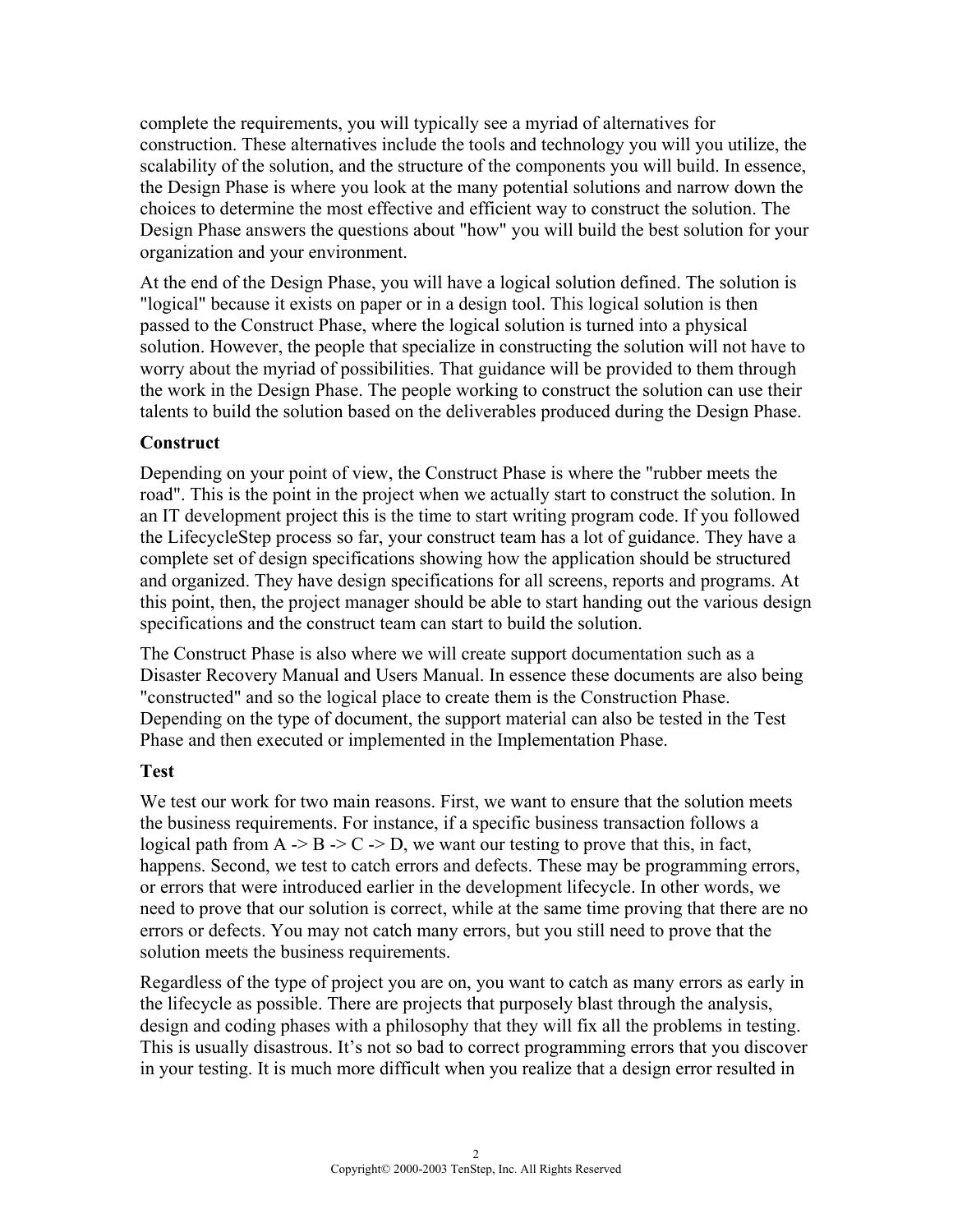complete the requirements, you will typically see a myriad of alternatives for construction. These alternatives include the tools and technology you will you utilize, the scalability of the solution, and the structure of the components you will build. In essence, the Design Phase is where you look at the many potential solutions and narrow down the choices to determine the most effective and efficient way to construct the solution. The Design Phase answers the questions about "how" you will build the best solution for your organization and your environment.

At the end of the Design Phase, you will have a logical solution defined. The solution is "logical" because it exists on paper or in a design tool. This logical solution is then passed to the Construct Phase, where the logical solution is turned into a physical solution. However, the people that specialize in constructing the solution will not have to worry about the myriad of possibilities. That guidance will be provided to them through the work in the Design Phase. The people working to construct the solution can use their talents to build the solution based on the deliverables produced during the Design Phase.

#### **Construct**

Depending on your point of view, the Construct Phase is where the "rubber meets the road". This is the point in the project when we actually start to construct the solution. In an IT development project this is the time to start writing program code. If you followed the LifecycleStep process so far, your construct team has a lot of guidance. They have a complete set of design specifications showing how the application should be structured and organized. They have design specifications for all screens, reports and programs. At this point, then, the project manager should be able to start handing out the various design specifications and the construct team can start to build the solution.

The Construct Phase is also where we will create support documentation such as a Disaster Recovery Manual and Users Manual. In essence these documents are also being "constructed" and so the logical place to create them is the Construction Phase. Depending on the type of document, the support material can also be tested in the Test Phase and then executed or implemented in the Implementation Phase.

## **Test**

We test our work for two main reasons. First, we want to ensure that the solution meets the business requirements. For instance, if a specific business transaction follows a logical path from  $A \rightarrow B \rightarrow C \rightarrow D$ , we want our testing to prove that this, in fact, happens. Second, we test to catch errors and defects. These may be programming errors, or errors that were introduced earlier in the development lifecycle. In other words, we need to prove that our solution is correct, while at the same time proving that there are no errors or defects. You may not catch many errors, but you still need to prove that the solution meets the business requirements.

Regardless of the type of project you are on, you want to catch as many errors as early in the lifecycle as possible. There are projects that purposely blast through the analysis, design and coding phases with a philosophy that they will fix all the problems in testing. This is usually disastrous. It's not so bad to correct programming errors that you discover in your testing. It is much more difficult when you realize that a design error resulted in